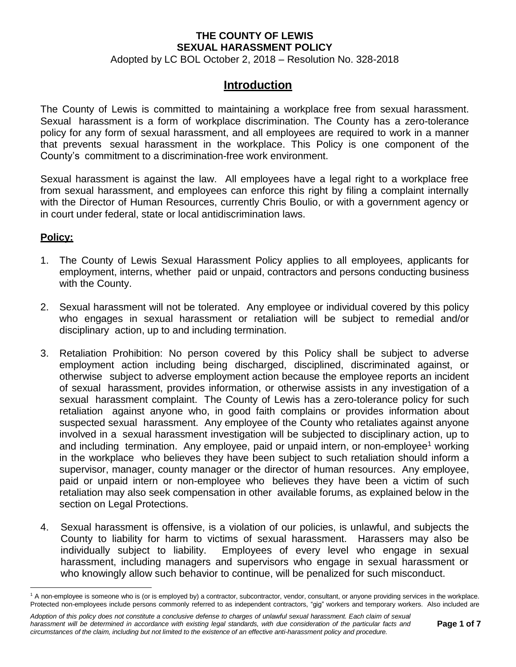# **THE COUNTY OF LEWIS SEXUAL HARASSMENT POLICY**

Adopted by LC BOL October 2, 2018 – Resolution No. 328-2018

## **Introduction**

The County of Lewis is committed to maintaining a workplace free from sexual harassment. Sexual harassment is a form of workplace discrimination. The County has a zero-tolerance policy for any form of sexual harassment, and all employees are required to work in a manner that prevents sexual harassment in the workplace. This Policy is one component of the County's commitment to a discrimination-free work environment.

Sexual harassment is against the law. All employees have a legal right to a workplace free from sexual harassment, and employees can enforce this right by filing a complaint internally with the Director of Human Resources, currently Chris Boulio, or with a government agency or in court under federal, state or local antidiscrimination laws.

#### **Policy:**

- 1. The County of Lewis Sexual Harassment Policy applies to all employees, applicants for employment, interns, whether paid or unpaid, contractors and persons conducting business with the County.
- 2. Sexual harassment will not be tolerated. Any employee or individual covered by this policy who engages in sexual harassment or retaliation will be subject to remedial and/or disciplinary action, up to and including termination.
- 3. Retaliation Prohibition: No person covered by this Policy shall be subject to adverse employment action including being discharged, disciplined, discriminated against, or otherwise subject to adverse employment action because the employee reports an incident of sexual harassment, provides information, or otherwise assists in any investigation of a sexual harassment complaint. The County of Lewis has a zero-tolerance policy for such retaliation against anyone who, in good faith complains or provides information about suspected sexual harassment. Any employee of the County who retaliates against anyone involved in a sexual harassment investigation will be subjected to disciplinary action, up to and including termination. Any employee, paid or unpaid intern, or non-employee<sup>1</sup> working in the workplace who believes they have been subject to such retaliation should inform a supervisor, manager, county manager or the director of human resources. Any employee, paid or unpaid intern or non-employee who believes they have been a victim of such retaliation may also seek compensation in other available forums, as explained below in the section on Legal Protections.
- 4. Sexual harassment is offensive, is a violation of our policies, is unlawful, and subjects the County to liability for harm to victims of sexual harassment. Harassers may also be individually subject to liability. Employees of every level who engage in sexual harassment, including managers and supervisors who engage in sexual harassment or who knowingly allow such behavior to continue, will be penalized for such misconduct.

<sup>&</sup>lt;sup>1</sup> A non-employee is someone who is (or is employed by) a contractor, subcontractor, vendor, consultant, or anyone providing services in the workplace. Protected non-employees include persons commonly referred to as independent contractors, "gig" workers and temporary workers. Also included are

*Adoption of this policy does not constitute a conclusive defense to charges of unlawful sexual harassment. Each claim of sexual* harassment will be determined in accordance with existing legal standards, with due consideration of the particular facts and circumstances of the claim, including but not limited to the existence of an effective anti-harassment policy and procedure.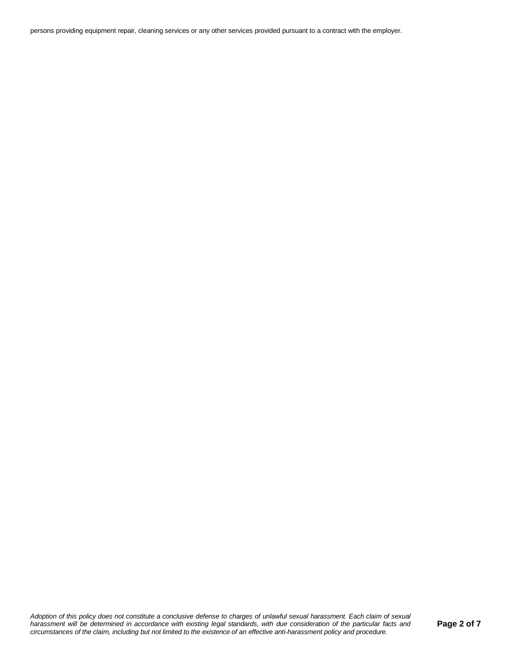persons providing equipment repair, cleaning services or any other services provided pursuant to a contract with the employer.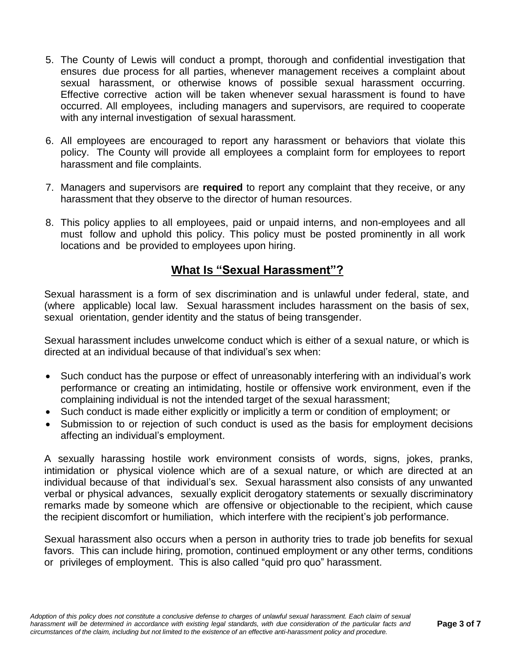- 5. The County of Lewis will conduct a prompt, thorough and confidential investigation that ensures due process for all parties, whenever management receives a complaint about sexual harassment, or otherwise knows of possible sexual harassment occurring. Effective corrective action will be taken whenever sexual harassment is found to have occurred. All employees, including managers and supervisors, are required to cooperate with any internal investigation of sexual harassment.
- 6. All employees are encouraged to report any harassment or behaviors that violate this policy. The County will provide all employees a complaint form for employees to report harassment and file complaints.
- 7. Managers and supervisors are **required** to report any complaint that they receive, or any harassment that they observe to the director of human resources.
- 8. This policy applies to all employees, paid or unpaid interns, and non-employees and all must follow and uphold this policy. This policy must be posted prominently in all work locations and be provided to employees upon hiring.

## **What Is "Sexual Harassment"?**

Sexual harassment is a form of sex discrimination and is unlawful under federal, state, and (where applicable) local law. Sexual harassment includes harassment on the basis of sex, sexual orientation, gender identity and the status of being transgender.

Sexual harassment includes unwelcome conduct which is either of a sexual nature, or which is directed at an individual because of that individual's sex when:

- Such conduct has the purpose or effect of unreasonably interfering with an individual's work performance or creating an intimidating, hostile or offensive work environment, even if the complaining individual is not the intended target of the sexual harassment;
- Such conduct is made either explicitly or implicitly a term or condition of employment; or
- Submission to or rejection of such conduct is used as the basis for employment decisions affecting an individual's employment.

A sexually harassing hostile work environment consists of words, signs, jokes, pranks, intimidation or physical violence which are of a sexual nature, or which are directed at an individual because of that individual's sex. Sexual harassment also consists of any unwanted verbal or physical advances, sexually explicit derogatory statements or sexually discriminatory remarks made by someone which are offensive or objectionable to the recipient, which cause the recipient discomfort or humiliation, which interfere with the recipient's job performance.

Sexual harassment also occurs when a person in authority tries to trade job benefits for sexual favors. This can include hiring, promotion, continued employment or any other terms, conditions or privileges of employment. This is also called "quid pro quo" harassment.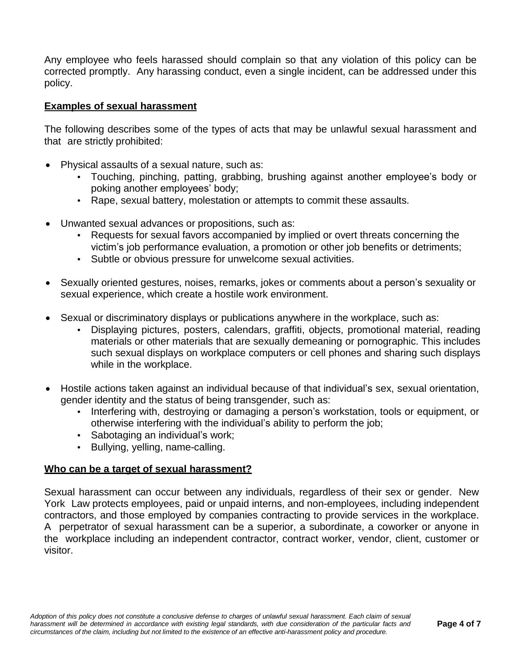Any employee who feels harassed should complain so that any violation of this policy can be corrected promptly. Any harassing conduct, even a single incident, can be addressed under this policy.

### **Examples of sexual harassment**

The following describes some of the types of acts that may be unlawful sexual harassment and that are strictly prohibited:

- Physical assaults of a sexual nature, such as:
	- Touching, pinching, patting, grabbing, brushing against another employee's body or poking another employees' body;
	- Rape, sexual battery, molestation or attempts to commit these assaults.
- Unwanted sexual advances or propositions, such as:
	- Requests for sexual favors accompanied by implied or overt threats concerning the victim's job performance evaluation, a promotion or other job benefits or detriments;
	- Subtle or obvious pressure for unwelcome sexual activities.
- Sexually oriented gestures, noises, remarks, jokes or comments about a person's sexuality or sexual experience, which create a hostile work environment.
- Sexual or discriminatory displays or publications anywhere in the workplace, such as:
	- Displaying pictures, posters, calendars, graffiti, objects, promotional material, reading materials or other materials that are sexually demeaning or pornographic. This includes such sexual displays on workplace computers or cell phones and sharing such displays while in the workplace.
- Hostile actions taken against an individual because of that individual's sex, sexual orientation, gender identity and the status of being transgender, such as:
	- Interfering with, destroying or damaging a person's workstation, tools or equipment, or otherwise interfering with the individual's ability to perform the job;
	- Sabotaging an individual's work;
	- Bullying, yelling, name-calling.

## **Who can be a target of sexual harassment?**

Sexual harassment can occur between any individuals, regardless of their sex or gender. New York Law protects employees, paid or unpaid interns, and non-employees, including independent contractors, and those employed by companies contracting to provide services in the workplace. A perpetrator of sexual harassment can be a superior, a subordinate, a coworker or anyone in the workplace including an independent contractor, contract worker, vendor, client, customer or visitor.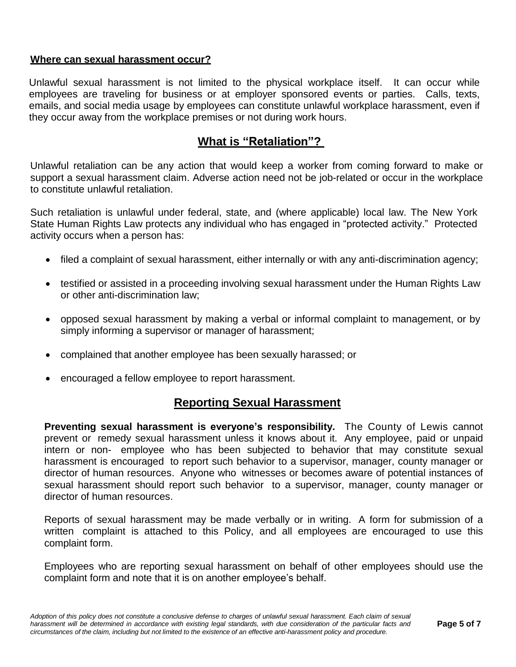### **Where can sexual harassment occur?**

Unlawful sexual harassment is not limited to the physical workplace itself. It can occur while employees are traveling for business or at employer sponsored events or parties. Calls, texts, emails, and social media usage by employees can constitute unlawful workplace harassment, even if they occur away from the workplace premises or not during work hours.

## **What is "Retaliation"?**

Unlawful retaliation can be any action that would keep a worker from coming forward to make or support a sexual harassment claim. Adverse action need not be job-related or occur in the workplace to constitute unlawful retaliation.

Such retaliation is unlawful under federal, state, and (where applicable) local law. The New York State Human Rights Law protects any individual who has engaged in "protected activity." Protected activity occurs when a person has:

- filed a complaint of sexual harassment, either internally or with any anti-discrimination agency;
- testified or assisted in a proceeding involving sexual harassment under the Human Rights Law or other anti-discrimination law;
- opposed sexual harassment by making a verbal or informal complaint to management, or by simply informing a supervisor or manager of harassment;
- complained that another employee has been sexually harassed; or
- encouraged a fellow employee to report harassment.

## **Reporting Sexual Harassment**

**Preventing sexual harassment is everyone's responsibility.** The County of Lewis cannot prevent or remedy sexual harassment unless it knows about it. Any employee, paid or unpaid intern or non- employee who has been subjected to behavior that may constitute sexual harassment is encouraged to report such behavior to a supervisor, manager, county manager or director of human resources. Anyone who witnesses or becomes aware of potential instances of sexual harassment should report such behavior to a supervisor, manager, county manager or director of human resources.

Reports of sexual harassment may be made verbally or in writing. A form for submission of a written complaint is attached to this Policy, and all employees are encouraged to use this complaint form.

Employees who are reporting sexual harassment on behalf of other employees should use the complaint form and note that it is on another employee's behalf.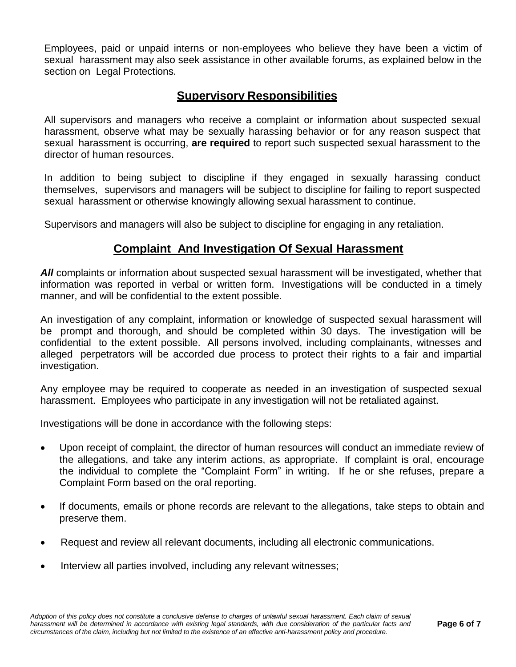Employees, paid or unpaid interns or non-employees who believe they have been a victim of sexual harassment may also seek assistance in other available forums, as explained below in the section on Legal Protections.

## **Supervisory Responsibilities**

All supervisors and managers who receive a complaint or information about suspected sexual harassment, observe what may be sexually harassing behavior or for any reason suspect that sexual harassment is occurring, **are required** to report such suspected sexual harassment to the director of human resources.

In addition to being subject to discipline if they engaged in sexually harassing conduct themselves, supervisors and managers will be subject to discipline for failing to report suspected sexual harassment or otherwise knowingly allowing sexual harassment to continue.

Supervisors and managers will also be subject to discipline for engaging in any retaliation.

# **Complaint And Investigation Of Sexual Harassment**

All complaints or information about suspected sexual harassment will be investigated, whether that information was reported in verbal or written form. Investigations will be conducted in a timely manner, and will be confidential to the extent possible.

An investigation of any complaint, information or knowledge of suspected sexual harassment will be prompt and thorough, and should be completed within 30 days. The investigation will be confidential to the extent possible. All persons involved, including complainants, witnesses and alleged perpetrators will be accorded due process to protect their rights to a fair and impartial investigation.

Any employee may be required to cooperate as needed in an investigation of suspected sexual harassment. Employees who participate in any investigation will not be retaliated against.

Investigations will be done in accordance with the following steps:

- Upon receipt of complaint, the director of human resources will conduct an immediate review of the allegations, and take any interim actions, as appropriate. If complaint is oral, encourage the individual to complete the "Complaint Form" in writing. If he or she refuses, prepare a Complaint Form based on the oral reporting.
- If documents, emails or phone records are relevant to the allegations, take steps to obtain and preserve them.
- Request and review all relevant documents, including all electronic communications.
- Interview all parties involved, including any relevant witnesses;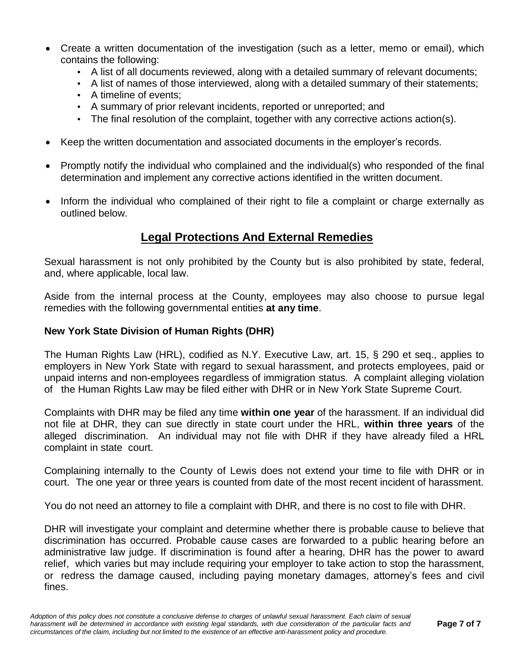- Create a written documentation of the investigation (such as a letter, memo or email), which contains the following:
	- A list of all documents reviewed, along with a detailed summary of relevant documents;
	- A list of names of those interviewed, along with a detailed summary of their statements;
	- A timeline of events;
	- A summary of prior relevant incidents, reported or unreported; and
	- The final resolution of the complaint, together with any corrective actions action(s).
- Keep the written documentation and associated documents in the employer's records.
- Promptly notify the individual who complained and the individual(s) who responded of the final determination and implement any corrective actions identified in the written document.
- Inform the individual who complained of their right to file a complaint or charge externally as outlined below.

# **Legal Protections And External Remedies**

Sexual harassment is not only prohibited by the County but is also prohibited by state, federal, and, where applicable, local law.

Aside from the internal process at the County, employees may also choose to pursue legal remedies with the following governmental entities **at any time**.

### **New York State Division of Human Rights (DHR)**

The Human Rights Law (HRL), codified as N.Y. Executive Law, art. 15, § 290 et seq., applies to employers in New York State with regard to sexual harassment, and protects employees, paid or unpaid interns and non-employees regardless of immigration status. A complaint alleging violation of the Human Rights Law may be filed either with DHR or in New York State Supreme Court.

Complaints with DHR may be filed any time **within one year** of the harassment. If an individual did not file at DHR, they can sue directly in state court under the HRL, **within three years** of the alleged discrimination. An individual may not file with DHR if they have already filed a HRL complaint in state court.

Complaining internally to the County of Lewis does not extend your time to file with DHR or in court. The one year or three years is counted from date of the most recent incident of harassment.

You do not need an attorney to file a complaint with DHR, and there is no cost to file with DHR.

DHR will investigate your complaint and determine whether there is probable cause to believe that discrimination has occurred. Probable cause cases are forwarded to a public hearing before an administrative law judge. If discrimination is found after a hearing, DHR has the power to award relief, which varies but may include requiring your employer to take action to stop the harassment, or redress the damage caused, including paying monetary damages, attorney's fees and civil fines.